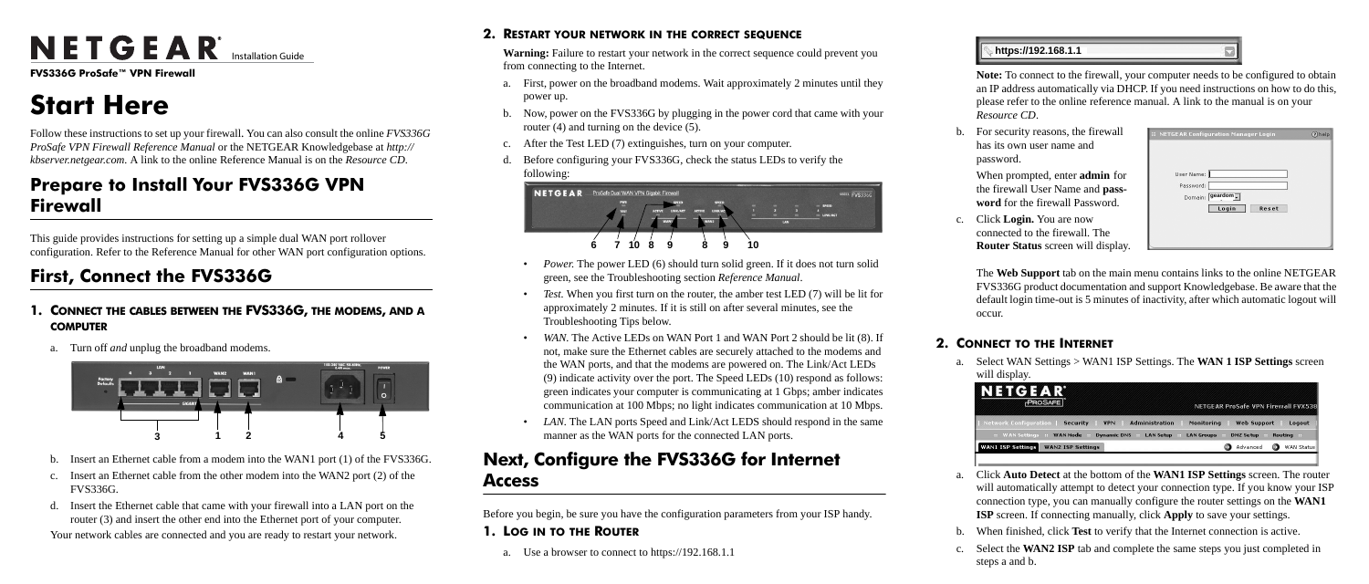**FVS336G ProSafe™ VPN Firewall** 

# **Start Here**

Follow these instructions to set up your firewall. You can also consult the online *FVS336G ProSafe VPN Firewall Reference Manual* or the NETGEAR Knowledgebase at *http:// kbserver.netgear.com.* A link to the online Reference Manual is on the *Resource CD*.

## **Prepare to Install Your FVS336G VPN Firewall**

This guide provides instructions for setting up a simple dual WAN port rollover configuration. Refer to the Reference Manual for other WAN port configuration options.

## **First, Connect the FVS336G**

- **1. CONNECT THE CABLES BETWEEN THE FVS336G, THE MODEMS, AND A COMPUTER**
	- a. Turn off *and* unplug the broadband modems.

- b. Insert an Ethernet cable from a modem into the WAN1 port (1) of the FVS336G.
- c. Insert an Ethernet cable from the other modem into the WAN2 port (2) of the FVS336G.
- d. Insert the Ethernet cable that came with your firewall into a LAN port on the router (3) and insert the other end into the Ethernet port of your computer.

Your network cables are connected and you are ready to restart your network.



#### **2. RESTART YOUR NETWORK IN THE CORRECT SEQUENCE**

**Warning:** Failure to restart your network in the correct sequence could prevent you from connecting to the Internet.

- *Power.* The power LED (6) should turn solid green. If it does not turn solid green, see the Troubleshooting section *Reference Manual*.
- *Test.* When you first turn on the router, the amber test LED (7) will be lit for approximately 2 minutes. If it is still on after several minutes, see the Troubleshooting Tips below.
- *WAN*. The Active LEDs on WAN Port 1 and WAN Port 2 should be lit (8). If not, make sure the Ethernet cables are securely attached to the modems and the WAN ports, and that the modems are powered on. The Link/Act LEDs (9) indicate activity over the port. The Speed LEDs (10) respond as follows: green indicates your computer is communicating at 1 Gbps; amber indicates communication at 100 Mbps; no light indicates communication at 10 Mbps.
- LAN. The LAN ports Speed and Link/Act LEDS should respond in the same manner as the WAN ports for the connected LAN ports.
- a. First, power on the broadband modems. Wait approximately 2 minutes until they power up.
- b. Now, power on the FVS336G by plugging in the power cord that came with your router (4) and turning on the device (5).
- c. After the Test LED (7) extinguishes, turn on your computer.
- d. Before configuring your FVS336G, check the status LEDs to verify the following:

## **Next, Configure the FVS336G for Internet Access**

Before you begin, be sure you have the configuration parameters from your ISP handy.

**1. LOG IN TO THE ROUTER**

a. Use a browser to connect to https://192.168.1.1





**Note:** To connect to the firewall, your computer needs to be configured to obtain an IP address automatically via DHCP. If you need instructions on how to do this, please refer to the online reference manual. A link to the manual is on your *Resource CD*.

b. For security reasons, the firewall has its own user name and

> When prompted, enter **admin** for the firewall User Name and **password** for the firewall Password.

c. Click **Login.** You are now connected to the firewall. The **Router Status** screen will display.

- 
- password.
- 
- 
- 
- occur.

The **Web Support** tab on the main menu contains links to the online NETGEAR FVS336G product documentation and support Knowledgebase. Be aware that the default login time-out is 5 minutes of inactivity, after which automatic logout will

#### **2. CONNECT TO THE INTERNET**

a. Select WAN Settings > WAN1 ISP Settings. The **WAN 1 ISP Settings** screen



- will display.
	-
	-
	-
- 
- 

NETGEAR<sup>®</sup> Installation Guide

a. Click **Auto Detect** at the bottom of the **WAN1 ISP Settings** screen. The router will automatically attempt to detect your connection type. If you know your ISP connection type, you can manually configure the router settings on the **WAN1 ISP** screen. If connecting manually, click **Apply** to save your settings.

b. When finished, click **Test** to verify that the Internet connection is active.

c. Select the **WAN2 ISP** tab and complete the same steps you just completed in steps a and b.

## **https://192.168.1.1**

| User Name: |                  |       |  |
|------------|------------------|-------|--|
| Password:  |                  |       |  |
|            | Domain: geardom. |       |  |
|            | Login            | Reset |  |